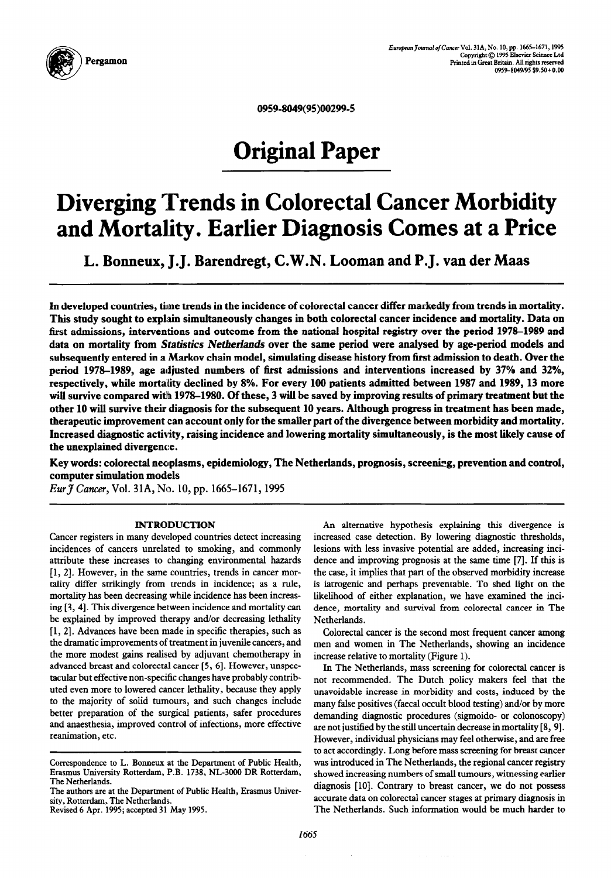

*0959-8049(95)00299-S* 

# **Original Paper**

# **Diverging Trends in Colorectal Cancer Morbidity**  and Mortality. Earlier Diagnosis Comes at a Price

**L. Bonneux, J. J. Barendregt, C.W.N. Looman and P. J. van der Maas** 

**In developed countries,** time **trends in the incidence of colorectal cancer differ markedly from trends in mortality. This study sought to explain simultaneously changes in both colorectal cancer incidence and mortality. Data on**  first admissions, interventions and outcome from the national hospital registry over the period 1978–1989 and **data on mortality from Statistics Netherlands over the same period were analysed by age-period models and subsequently entered in a Markov chain model, simulating disease history from first admission to death. Over the**  period 1978–1989, age adjusted numbers of first admissions and interventions increased by 37% and 32%, **respectively, while mortality declined by 8%. For every 100 patients admitted between 1987 and 1989,13 more will survive compared with 1978-1980. Of these, 3 will be saved by improving results of primary treatment but the other 10 will survive their diagnosis for the subsequent 10 years. Although progress in treatment has been made, therapeutic improvement can account only for the smaller part of the divergence between morbidity and mortality. Increased diagnostic activity, raising incidence and lowering mortality simultaneously, is the most likely cause of the unexplained divergence.** 

Key words: colorectal neoplasms, epidemiology, The Netherlands, prognosis, screening, prevention and control, **computer simulation models** 

*EurJ Cuncer,* **Vol. 3lA, No. 10,** pp. **1665-1671,1995** 

### INTRODUCTION

Cancer registers in many developed countries detect increasing incidences of cancers unrelated to smoking, and commonly attribute these increases to changing environmental hazards { 1,2]. However, in the same countries, trends in cancer mortality differ strikingly from trends in incidence; as a rule, mortality has been decreasing while incidence has been increasing [3, 41. This divergence between incidence and mortality can be explained by improved therapy and/or decreasing lethality [ 1, 21. Advances have been made in specific therapies, such as the dramatic improvements **of** treatment in juvenile cancers, and the more modest gains realised by adjuvant chemotherapy in advanced breast and colorectal cancer [5, 6]. However, unspectacular but effective non-specific changes have probably contributed even more to lowered cancer lethality, because they apply to the majority of solid tumours, and such changes include better preparation of the surgical patients, safer procedures and anaesthesia, improved control of infections, more effective reanimation, etc.

An alternative hypothesis explaining this divergence is increased case detection. By lowering diagnostic thresholds, lesions with less invasive potential are added, increasing incidence and improving prognosis at the same time [7]. If this is the case, it implies that part of the observed morbidity increase is iatrogenic and perhaps preventable. To shed light on the likelihood of either explanation, we have examined the incidence, mortality and survival from colorectal cancer in The Netherlands.

Colorectal cancer is the second most frequent cancer among men and women in The Netherlands, showing an incidence increase relative to mortality (Figure 1).

In The Netherlands, mass screening for colorectal cancer is not recommended. The Dutch policy makers feel that the unavoidable increase in morbidity and costs, induced by the many false positives (faecal occult blood testing) and/or by more demanding diagnostic procedures (sigmoido- or colonoscopy) are not justified by the still uncertain decrease in mortality [8, 91. However, individual physicians may feel otherwise, and are free to act accordingly. Long before mass screening for breast cancer was introduced in The Netherlands, the regional cancer registry showed increasing numbers of small tumours, witnessing earlier diagnosis [lo]. Contrary to breast cancer, we do not possess accurate data on colorectal cancer stages at primary diagnosis in The Netherlands. Such information would be much harder to

**Correspondence to L. Bonneux at the Department of Public Health, Erasmus University Rotterdam, P.B. 1738, NL-3000 DR Rotterdam, The Netherlands.** 

**The authors are at the Department of Public Health, Erasmus University, Rotterdam, The Netherlands.** 

**Revised 6 Apr. 1995; accepted 31 May 1995.**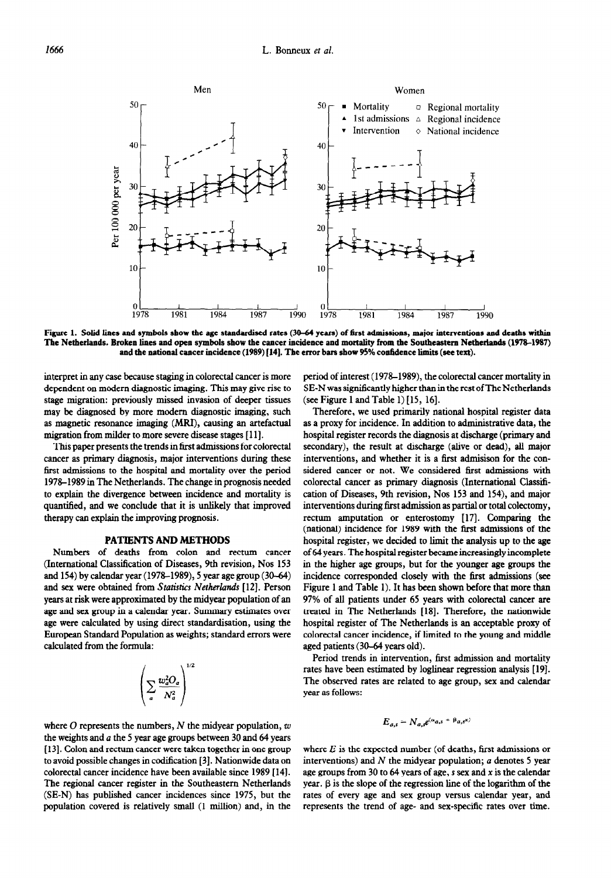

Figure 1. Solid lines and symbols show the age standardised rates (30-64 years) of first admissions, major interventions and deaths within **The Netherlands. Broken lines and open symbols show the cancer incidence and mortality from the Southeastern Netherlands (1978-1987) and the national cancer incidence (1989) [14]. The error bars show 95% confidence limits (see text).** 

interpret in any case because staging in colorectal cancer is more dependent on modern diagnostic imaging. This may give rise to stage migration: previously missed invasion of deeper tissues may be diagnosed by more modem diagnostic imaging, such as magnetic resonance imaging (MRI), causing an artefactual migration from milder to more severe disease stages [ 111.

This paper presents the trends in first admissions for colorectal cancer as primary diagnosis, major interventions during these first admissions to the hospital and mortality over the period 1978–1989 in The Netherlands. The change in prognosis needed to explain the divergence between incidence and mortality is quantified, and we conclude that it is unlikely that improved therapy can explain the improving prognosis.

### PATIENTS AND METHODS

Numbers of deaths from colon and rectum cancer (International Classification of Diseases, 9th revision, Nos 153 and 154) by calendar year (1978-1989), 5 year age group (30-64) and sex were obtained from *Statistics Netherlands* [12]. Person years at risk were approximated by the midyear population of an age and sex group in a calendar year. Summary estimates over age were calculated by using direct standardisation, using the European Standard Population as weights; standard errors were calculated from the formula:

$$
\left(\sum_a \frac{w_a^2 O_a}{N_a^2}\right)^{1/2}
$$

where  $O$  represents the numbers,  $N$  the midyear population,  $w$ the weights and  $a$  the 5 year age groups between 30 and 64 years [13]. Colon and rectum cancer were taken together in one group to avoid possible changes in codification [3]. Nationwide data on colorectal cancer incidence have been available since 1989 [ 141. The regional cancer register in the Southeastern Netherlands (SE-N) has published cancer incidences since 1975, but the population covered is relatively small (1 million) and, in the period of interest (1978-1989), the colorectal cancer mortality in SE-N was significantly higher than in the rest of **The** Netherlands (see Figure 1 and Table 1)  $[15, 16]$ .

Therefore, we used primarily national hospital register data as a proxy for incidence. In addition to administrative data, the hospital register records the diagnosis at discharge (primary and secondary), the result at discharge (alive or dead), all major interventions, and whether it is a first admisison for the considered cancer or not. We considered first admissions with colorectal cancer as primary diagnosis (International Classification of Diseases, 9th revision, Nos 153 and 154), and major interventions during first admission as partial or total colectomy, rectum amputation or enterostomy [17]. Comparing the (national) incidence for 1989 with the first admissions of the hospital register, we decided to limit the analysis up to the age of 64 years. The hospital register became increasingly incomplete in the higher age groups, but for the younger age groups the incidence corresponded closely with the first admissions (see Figure 1 and Table 1). It has been shown before that more than 97% of all patients under 65 years with colorectal cancer are treated in The Netherlands [18]. Therefore, the nationwide hospital register of The Netherlands is an acceptable proxy of colorectal cancer incidence, if limited to the young and middle aged patients (30-64 years old).

Period trends in intervention, first admission and mortality rates have been estimated by loglinear regression analysis [19]. The observed rates are related to age group, sex and calendar year as follows:

$$
E_{a,s} = N_{a,s}e^{(\alpha_{a,s} + \beta_{a,s}x)}
$$

where  $E$  is the expected number (of deaths, first admissions or interventions) and  $N$  the midyear population;  $a$  denotes 5 year age groups from 30 to 64 years of age,  $s$  sex and  $x$  is the calendar year.  $\beta$  is the slope of the regression line of the logarithm of the rates of every age and sex group versus calendar year, and represents the trend of age- and sex-specific rates over time.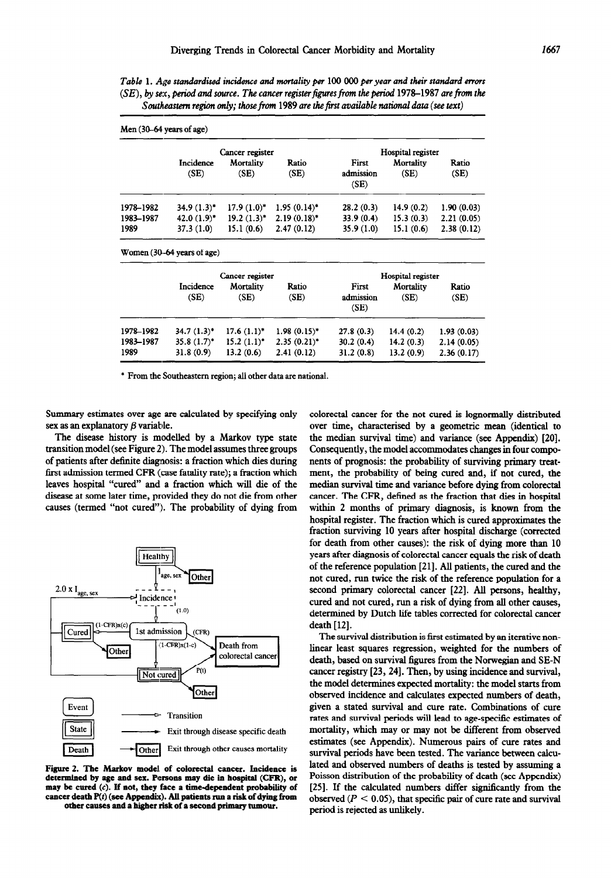*Table* 1. *Age standardised* incidence *and mortality per* 100 000 per *year and their standard errors (SE), by sex, period and source. The cancer register figures from the period 1978–1987 are from the Southeastern region only; those from 1989 are the first available national data (see text)* 

| Men (30–64 years of age) |                            |                   |                |                            |                   |               |  |
|--------------------------|----------------------------|-------------------|----------------|----------------------------|-------------------|---------------|--|
|                          | Cancer register            |                   |                | Hospital register          |                   |               |  |
|                          | <b>Incidence</b><br>(SE)   | Mortality<br>(SE) | Ratio<br>(SE)  | First<br>admission<br>(SE) | Mortality<br>(SE) | Ratio<br>(SE) |  |
| 1978-1982                | $34.9(1.3)^*$              | $17.9(1.0)^*$     | $1.95(0.14)^*$ | 28.2(0.3)                  | 14.9 $(0.2)$      | 1.90(0.03)    |  |
| 1983-1987                | $42.0(1.9)^*$              | $19.2 (1.3)^*$    | $2.19(0.18)$ * | 33.9(0.4)                  | 15.3(0.3)         | 2.21(0.05)    |  |
| 1989                     | 37.3(1.0)                  | 15.1(0.6)         | 2.47(0.12)     | 35.9(1.0)                  | 15.1(0.6)         | 2.38(0.12)    |  |
|                          | Women (30-64 years of age) |                   |                |                            |                   |               |  |
|                          | Cancer register            |                   |                | Hospital register          |                   |               |  |
|                          | Incidence                  | Mortality         | Ratio          | First                      | Mortality         | Ratio         |  |
|                          | (SE)                       | (SE)              | (SE)           | admission<br>(SE)          | (SE)              | (SE)          |  |
| 1978-1982                | $34.7(1.3)^*$              | $17.6(1.1)^*$     | $1.98(0.15)^*$ | 27.8(0.3)                  | 14.4(0.2)         | 1.93(0.03)    |  |
| 1983-1987                | $35.8(1.7)^*$              | $15.2 (1.1)^*$    | $2.35(0.21)^*$ | 30.2(0.4)                  | 14.2(0.3)         | 2.14(0.05)    |  |
| 1989                     | 31.8(0.9)                  | 13.2(0.6)         | 2.41(0.12)     | 31.2(0.8)                  | 13.2(0.9)         | 2.36(0.17)    |  |

\* From the Southeastern region; all other data are national.

Summary estimates over age are calculated by specifying only sex as an explanatory  $\beta$  variable.

The disease history is modelled by a Markov type state transition model (see Figure 2). The model assumes three groups of patients after definite diagnosis: a fraction which dies during first admission termed CFR (case fatality rate); a fraction which leaves hospital "cured" and a fraction which will die of the disease at some later time, provided they do not die from other causes (termed "not cured"). The probability of dying from



Figure 2. The Markov model of colorectal cancer. Incidence is **determined by age and sex.** Persons may die in **hospital (CFR), or may be cured (c). If not, they face a time-dependent probabiity of cancer death P(r) (see Appendix). All patients ran a risk of dying from other causes and a kigher risk of a second primary tumour.** 

colorectal cancer for the not cured is lognormally distributed over time, characterised by a geometric mean (identical to the median survival time) and variance (see Appendix) [20]. Consequently, the model accommodates changes in four components of prognosis: the probability of surviving primary treatment, the probability of being cured and, if not cured, the median survival time and variance before dying from colorectal cancer. The CFR, defined as the fraction that dies in hospital within 2 months of primary diagnosis, is known from the hospital register. The fraction which is cured approximates the fraction surviving 10 years after hospital discharge (corrected for death from other causes): the risk of dying more than 10 years after diagnosis of colorectal cancer equals the risk of death of the reference population [21]. All patients, the cured and the not cured, run twice the risk of the reference population for a second primary colorectal cancer [22]. All persons, healthy, cured and not cured, run a risk of dying from all other causes, determined by Dutch life tables corrected for colorectal cancer death [12].

The survival distribution is first estimated by an iterative nonlinear least squares regression, weighted for the numbers of death, based on survival figures from the Norwegian and SE-N cancer registry [23,24]. Then, by using incidence and survival, the model determines expected mortality: the model starts from observed incidence and calculates expected numbers of death, given a stated survival and cure rate. Combinations of cure rates and survival periods will lead to age-specific estimates of mortality, which may or may not be different from observed estimates (see Appendix). Numerous pairs of cure rates and survival periods have been tested. The variance between calculated and observed numbers of deaths is tested by assuming a Poisson distribution of the probability of death (see Appendix) [25]. If the calculated numbers differ significantly from the observed ( $P < 0.05$ ), that specific pair of cure rate and survival period is rejected as unlikely.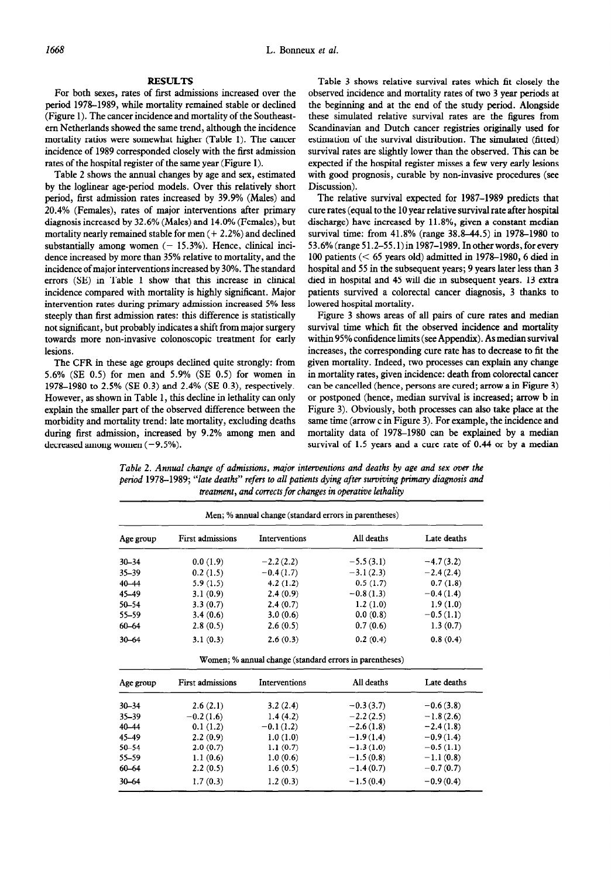## **RESULTS**

For both sexes, rates of first admissions increased over the period 1978-1989, while mortality remained stable or declined (Figure 1). The cancer incidence and mortality of the Southeastern Netherlands showed the same trend, although the incidence mortality ratios were somewhat higher (Table 1). The cancer incidence of 1989 corresponded closely with the first admission rates of the hospital register of the same year (Figure 1).

Table 2 shows the annual changes by age and sex, estimated by the loglinear age-period models. Over this relatively short period, first admission rates increased by 39.9% (Males) and 20.4% (Females), rates of major interventions after primary diagnosis increased by 32.6% (Males) and 14.0% (Females), but mortality nearly remained stable for men  $(+ 2.2%)$  and declined substantially among women  $(-15.3%)$ . Hence, clinical incidence increased by more than 35% relative to mortality, and the incidence of major interventions increased by 30%. The standard errors (SE) in Table 1 show that this increase in clinical incidence compared with mortality is highly significant. Major intervention rates during primary admission increased 5% less steeply than first admission rates: this difference is statistically not significant, but probably indicates a shift from major surgery towards more non-invasive colonoscopic treatment for early lesions.

The CFR in these age groups declined quite strongly: from 5.6% (SE 0.5) for men and 5.9% (SE 0.5) for women in 1978-1980 to 2.5% (SE 0.3) and 2.4% (SE 0.3), respectively. However, as shown in Table 1, this decline in lethality can only explain the smaller part of the observed difference between the morbidity and mortality trend: late mortality, excluding deaths during first admission, increased by 9.2% among men and decreased among women  $(-9.5\%)$ .

Table 3 shows relative survival rates which fit closely the observed incidence and mortality rates of two 3 year periods at the beginning and at the end of the study period. Alongside these simulated relative survival rates are the figures from Scandinavian and Dutch cancer registries originally used for estimation of the survival distribution. The simulated (fitted) survival rates are slightly lower than the observed. This can be expected if the hospital register misses a few very early lesions with good prognosis, curable by non-invasive procedures (see Discussion).

The relative survival expected for 1987-1989 predicts that cure rates (equal to the 10 year relative survival rate after hospital discharge) have increased by 11.8%, given a constant median survival time: from 41.8% (range 38.8–44.5) in 1978–1980 to 53.6% (range 51.2-55.1) in 1987-1989. In other words, for every 100 patients ( $<$  65 years old) admitted in 1978-1980, 6 died in hospital and 55 in the subsequent years; 9 years later less than 3 died in hospital and 45 will die in subsequent years. 13 extra patients survived a colorectal cancer diagnosis, 3 thanks to lowered hospital mortality.

Figure 3 shows areas of all pairs of cure rates and median survival time which fit the observed incidence and mortality within 95% confidence limits (see Appendix). As median survival increases, the corresponding cure rate has to decrease to fit the given mortality. Indeed, two processes can explain any change in mortality rates, given incidence: death from colorectal cancer can be cancelled (hence, persons are cured; arrow a in Figure 3) or postponed (hence, median survival is increased; arrow b in Figure 3). Obviously, both processes can also take place at the same time (arrow c in Figure 3). For example, the incidence and mortality data of 1978–1980 can be explained by a median survival of 1.5 years and a cure rate of 0.44 or by a median

*Table 2. Annual change of admissions, major interventions and deaths by age and sex over the period 1978-1989; "late deaths" refers to all patients dying after surviving primary diagnosis and treatment, and corrects for changes in operative lethality* 

| Age group | <b>First admissions</b> | <b>Interventions</b> | All deaths  | Late deaths |
|-----------|-------------------------|----------------------|-------------|-------------|
| $30 - 34$ | 0.0(1.9)                | $-2.2(2.2)$          | $-5.5(3.1)$ | $-4.7(3.2)$ |
| $35 - 39$ | 0.2(1.5)                | $-0.4(1.7)$          | $-3.1(2.3)$ | $-2.4(2.4)$ |
| $40 - 44$ | 5.9(1.5)                | 4.2(1.2)             | 0.5(1.7)    | 0.7(1.8)    |
| 45-49     | 3.1(0.9)                | 2.4(0.9)             | $-0.8(1.3)$ | $-0.4(1.4)$ |
| $50 - 54$ | 3.3(0.7)                | 2.4(0.7)             | 1.2(1.0)    | 1.9(1.0)    |
| 55-59     | 3.4(0.6)                | 3.0(0.6)             | 0.0(0.8)    | $-0.5(1.1)$ |
| 60-64     | 2.8(0.5)                | 2.6(0.5)             | 0.7(0.6)    | 1.3(0.7)    |
| $30 - 64$ | 3.1(0.3)                | 2.6(0.3)             | 0.2(0.4)    | 0.8(0.4)    |

| Age group | <b>First admissions</b> | Interventions | All deaths  | Late deaths |  |
|-----------|-------------------------|---------------|-------------|-------------|--|
| $30 - 34$ | 2.6(2.1)                | 3.2(2.4)      | $-0.3(3.7)$ | $-0.6(3.8)$ |  |
| $35 - 39$ | $-0.2(1.6)$             | 1.4(4.2)      | $-2.2(2.5)$ | $-1.8(2.6)$ |  |
| 40-44     | 0.1(1.2)                | $-0.1(1.2)$   | $-2.6(1.8)$ | $-2.4(1.8)$ |  |
| 45-49     | 2.2(0.9)                | 1.0(1.0)      | $-1.9(1.4)$ | $-0.9(1.4)$ |  |
| $50 - 54$ | 2.0(0.7)                | 1.1(0.7)      | $-1.3(1.0)$ | $-0.5(1.1)$ |  |
| 55-59     | 1.1(0.6)                | 1.0(0.6)      | $-1.5(0.8)$ | $-1.1(0.8)$ |  |
| $60 - 64$ | 2.2(0.5)                | 1.6(0.5)      | $-1.4(0.7)$ | $-0.7(0.7)$ |  |
| $30 - 64$ | 1.7(0.3)                | 1.2(0.3)      | $-1.5(0.4)$ | $-0.9(0.4)$ |  |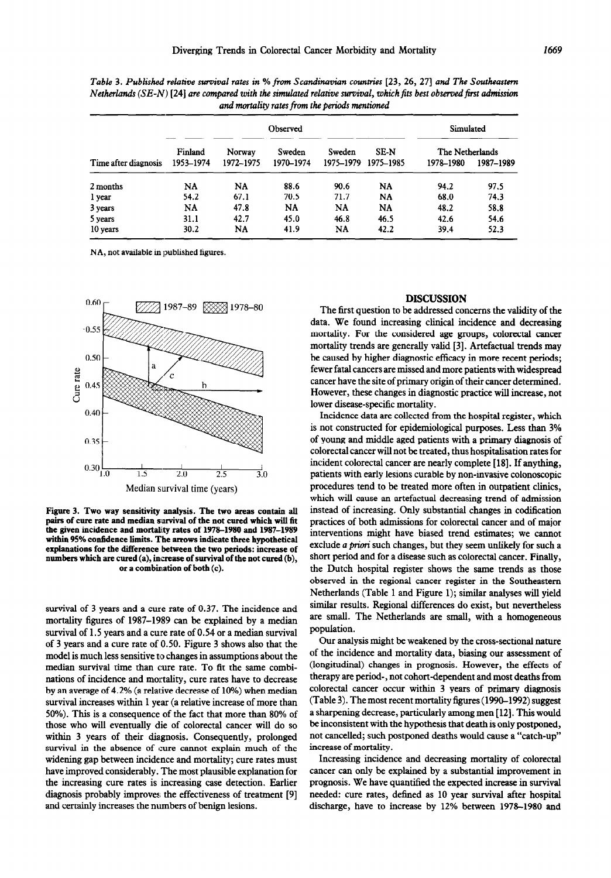|                      | Observed  |           |           |           |             | Simulated       |           |
|----------------------|-----------|-----------|-----------|-----------|-------------|-----------------|-----------|
|                      | Finland   | Norway    | Sweden    | Sweden    | <b>SE-N</b> | The Netherlands |           |
| Time after diagnosis | 1953-1974 | 1972-1975 | 1970-1974 | 1975–1979 | 1975–1985   | 1978-1980       | 1987-1989 |
| 2 months             | <b>NA</b> | NA        | 88.6      | 90.6      | <b>NA</b>   | 94.2            | 97.5      |
| 1 year               | 54.2      | 67.1      | 70.5      | 71.7      | <b>NA</b>   | 68.0            | 74.3      |
| 3 years              | NA        | 47.8      | <b>NA</b> | <b>NA</b> | NA          | 48.2            | 58.8      |
| 5 years              | 31.1      | 42.7      | 45.0      | 46.8      | 46.5        | 42.6            | 54.6      |
| 10 years             | 30.2      | NA        | 41.9      | <b>NA</b> | 42.2        | 39.4            | 52.3      |

*Table 3. Published relative survival rates in % from Scandinavian wuntries [23, 26, 271 and The Southeastern Netherlands (SE-N)* [24] are compared with the simulated relative survival, which fits best observed first admission *and* mortality *rates from the periods mentioned* 

NA, not available in published figures.



**Figure 3. Two way sensitivity analysis. The two areas contain all pairs of cure rate and median survival of the not cured which will fit**  the given incidence and mortality rates of 1978-1980 and 1987-1989 **within 95% confidence limits. The arrows indicate three hypothetical explanations for the difference between the two periods: increase of numbers which are cured (a), increase of survival of the not cured (b), or a combination of both (c).** 

*survival* of *3* years and a cure rate of 0.37. The incidence and mortality figures of 1987-1989 can be explained by a median survival of 1.5 years and a cure rate of 0.54 or a median survival of 3 years and a cure rate of 0.50. Figure 3 shows also that the model is much less sensitive to changes in assumptions about the median survival time than cure rate. To fit the same combinations of incidence and mortality, cure rates have to decrease by an average of 4.2% (a relative decrease of 10%) when median survival increases within 1 year (a relative increase of more than 50%). This is a consequence of the fact that more than 80% of those who will eventually die of colorectal cancer will do so within *3 years* of their diagnosis. Consequently, prolonged survival in the absence of cure cannot explain much of the widening gap between incidence and mortality; cure rates must have improved considerably. The most plausible explanation for the increasing cure rates is increasing case detection. Earlier diagnosis probably improves the effectiveness of treatment [9] and certainly increases the numbers of benign lesions.

### DISCUSSION

The first question to be addressed concerns the validity of the data. We found increasing clinical incidence and decreasing mortality. For the considered age groups, colorectal cancer mortality trends are generally valid [3]. Artefactual trends may be caused by higher diagnostic efficacy in more recent periods; fewer fatal cancers are missed and more patients with widespread cancer have the site of primary origin of their cancer determined. However, these changes in diagnostic practice will increase, not lower disease-specific mortality.

Incidence data are collected from the hospital register, which is not constructed for epidemiological purposes. Less than 3% of young and middle aged patients with a primary diagnosis of colorectal cancer will not be treated, thus hospitalisation rates for incident colorectal cancer are nearly complete [18]. If anything, patients with early lesions curable by non-invasive colonoscopic procedures tend to be treated more often in outpatient clinics, which will cause an artefactual decreasing trend of admission instead of increasing. Only substantial changes in codification practices of both admissions for colorectal cancer and of major interventions might have biased trend estimates; we cannot exclude *a priori* such changes, but they seem unlikely for such a short period and for a disease such as colorectal cancer. Finally, the Dutch hospital register shows the same trends as those observed in the regional cancer register in the Southeastern Netherlands (Table 1 and Figure 1); similar analyses will yield similar results. Regional differences do exist, but nevertheless are small. The Netherlands are small, with a homogeneous population.

Our analysis might be weakened by the cross-sectional nature of the incidence and mortality data, biasing our assessment of (longitudinal) changes in prognosis. However, the effects of therapy are period-, not cohort-dependent and most deaths from colorectal cancer occur within 3 years of primary diagnosis (Table 3). The most recent mortality figures (1990–1992) suggest a sharpening decrease, particularly among men [12]. This would be inconsistent with the hypothesis that death is only postponed, not cancelled; such postponed deaths would cause a "catch-up" increase of mortality.

Increasing incidence and decreasing mortality of colorectal cancer can only be explained by a substantial improvement in prognosis. We have quantified the expected increase in survival needed: cure rates, defined as 10 year survival after hospital discharge, have to increase by 12% between 1978-1980 and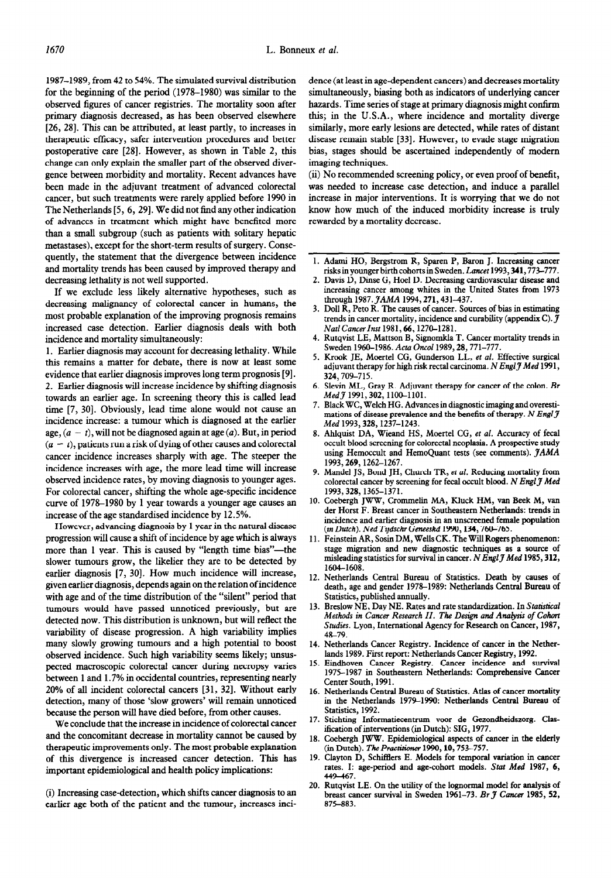1987-1989, from 42 to 54%. The simulated survival distribution for the beginning of the period (1978-1980) was similar to the observed figures of cancer registries. The mortality soon after primary diagnosis decreased, as has been observed elsewhere [26, 28]. This can be attributed, at least partly, to increases in therapeutic efficacy, safer intervention procedures and better postoperative care [28]. However, as shown in Table 2, this change can only explain the smaller part of the observed divergence between morbidity and mortality. Recent advances have been made in the adjuvant treatment of advanced colorectal cancer, but such treatments were rarely applied before 1990 in The Netherlands [5, 6, 291. We did not find any other indication of advances in treatment which might have benefited more than a small subgroup (such as patients with solitary hepatic metastases), except for the short-term results of surgery. Consequently, the statement that the divergence between incidence and mortality trends has been caused by improved therapy and decreasing lethality is not well supported.

If we exclude less likely alternative hypotheses, such as decreasing malignancy of colorectal cancer in humans, the most probable explanation of the improving prognosis remains increased case detection. Earlier diagnosis deals with both incidence and mortality simultaneously:

1. Earlier diagnosis may account for decreasing lethality. While this remains a matter for debate, there is now at least some evidence that earlier diagnosis improves long term prognosis [9]. 2. Earlier diagnosis will increase incidence by shifting diagnosis towards an earlier age. In screening theory this is called lead time [7, 30]. Obviously, lead time alone would not cause an incidence increase: a tumour which is diagnosed at the earlier age,  $(a - t)$ , will not be diagnosed again at age  $(a)$ . But, in period  $(a - t)$ , patients run a risk of dying of other causes and colorectal cancer incidence increases sharply with age. The steeper the incidence increases with age, the more lead time will increase observed incidence rates, by moving diagnosis to younger ages. For colorectal cancer, shifting the whole age-specific incidence curve of 1978-1980 by 1 year towards a younger age causes an increase of the age standardised incidence by 12.5%.

However, advancing diagnosis by 1 year in the natural disease progression will cause a shift of incidence by age which is always more than 1 year. This is caused by "length time bias"—the slower tumours grow, the likelier they are to be detected by earlier diagnosis [7, 30]. How much incidence will increase, given earlier diagnosis, depends again on the relation of incidence with age and of the time distribution of the "silent" period that tumours would have passed unnoticed previously, but are detected now. This distribution is unknown, but will reflect the variability of disease progression. A high variability implies many slowly growing tumours and a high potential to boost observed incidence. Such high variability seems likely; unsuspected macroscopic colorectal cancer during necropsy varies between 1 and 1.7% in occidental countries, representing nearly 20% of all incident colorectal cancers [31, 321. Without early detection, many of those 'slow growers' will remain unnoticed because the person will have died before, from other causes.

We conclude that the increase in incidence of colorectal cancer and the concomitant decrease in mortality cannot be caused by therapeutic improvements only. The most probable explanation of this divergence is increased cancer detection. This has important epidemiological and health policy implications:

(i) Increasing case-detection, which shifts cancer diagnosis to an earlier age both of the patient and the tumour, increases incidence (at least in age-dependent cancers) and decreases mortality simultaneously, biasing both as indicators of underlying cancer hazards. Time series of stage at primary diagnosis might confirm this; in the U.S.A., where incidence and mortality diverge similarly, more early lesions are detected, while rates of distant disease remain stable [33]. However, to evade stage migration bias, stages should be ascertained independently of modern imaging techniques.

(ii) No recommended screening policy, or even proof of benefit, was needed to increase case detection, and induce a parallel increase in major interventions. It is worrying that we do not know how much of the induced morbidity increase is truly rewarded by a mortality decrease.

- 1. Adami HO, Bergstrom R, Sparen P, Baron J. Increasing cancer risks in younger birth cohorts in Sweden. *Lancet* 1993, 341, 773-777.
- 2. Davis D, Dinse G, Hoe1 D. Decreasing cardiovascular disease and increasing cancer among whites in the United States from 1973 through 1987. JAMA 1994, 271, 431-437.
- 3. Doll R, Peto R. The causes of cancer. Sources of bias in estimating trends in cancer mortality, incidence and curability (appendix C).  $\mathcal J$ *Nat1 Cancerlnst* 1981,66,127&1281.
- 4. Rutqvist LE, Mattson B, Signomkla T. Cancer mortality trends in Sweden 1960-1986. Acta Oncol 1989, 28, 771-777.
- 5. Krook JE, Moertel CG, Gunderson LL, *et al.* Effective surgical adjuvant therapy for high risk rectal carcinoma. N EnglJ *Med* 1991, 324, 709-715.
- 6. Slevin ML, Gray R. Adjuvant therapy for cancer of the colon. Br *Med J* 1991, 302, 1100-1101.
- 7. Black WC, Welch HG. Advances in diagnostic imaging and overestimations of disease prevalence and the benefits of therapy. N Engl  $\mathcal J$ Med 1993, 328, 1237-1243.
- 8. Ahlquist DA, Wieand HS, Moertel CG, *er al.* Accuracy of fecal occult blood screening for colorectal neoplasia. A prospective study using Hemoccult and HemoQuant tests (see comments).  $JAMA$ 1993,269,1262-1267.
- 9. Mandel JS, Bond JH, Church TR, *et al.* Reducing mortality from colorectal cancer by screening for fecal occult blood. N Engl J Med 1993,328,1365-1371.
- 10. Coebergh JWW, Crommelin MA, Kluck HM, van Beek M, van der Horst F. Breast cancer in Southeastern Netherlands: trends in incidence and earlier diagnosis in an unscreened female population *(in Dutch). Ned Tzjdschr Geneeskd* 1990,134,760-765.
- 11. Feinstein AR, Sosin DM, Wells CK. The Will Rogers phenomenon: stage migration and new diagnostic techniques as a source of misleading statistics for survival in cancer. N Engl J Med 1985, 312, 1604-1608.
- 12. Netherlands Central Bureau of Statistics. Death by causes of death, age and gender 1978-1989: Netherlands Central Bureau of Statistics, published annually.
- 13. Breslow NE, Day NE. Rates and rate standardization. In Statistical *Methods in Cancer Research II. The Design and Analysis of Cohort* Studies. Lyon, International Agency for Research on Cancer, 1987, 48-79.
- 14. Netherlands Cancer Registry. Incidence of cancer in the Netherlands 1989. First report: Netherlands Cancer Registry, 1992.
- 15. Eindhoven Cancer Registry. Cancer incidence and survival 1975-1987 in Southeastern Netherlands: Comprehensive Cancer Center South, 1991.
- 16. Netherlands Central Bureau of Statistics. Atlas of cancer mortality in the Netherlands 1979-1990: Netherlands Central Bureau of Statistics, 1992.
- 17. Stichting Informatiecentrum voor de Gezondheidszorg. Clas ification of interventions (in Dutch): SIG, 1977.
- 18. Coebergh JWW. Epidemiological aspects of cancer in the elderly (in Dutch). *The Practikmer* 1990.10.753-757.
- 19. Clayton D, Schifflers E. Models for temporal variation in cancer rates. I: age-period and age-cohort models. Stat *Med* 1987, 6, 449-467.
- 20. Rutqvist LE. On the utility of the lognormal model for analysis of breast cancer survival in Sweden 1961-73. Br  $\tilde{\jmath}$  Cancer 1985, 52, 875-883.